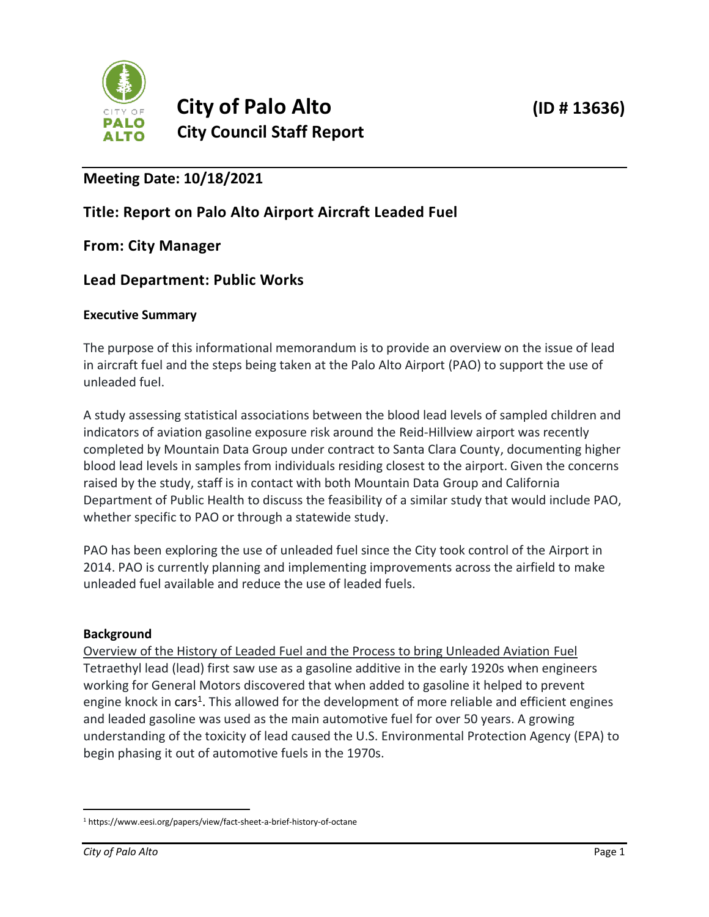

# **Meeting Date: 10/18/2021**

## **Title: Report on Palo Alto Airport Aircraft Leaded Fuel**

### **From: City Manager**

## **Lead Department: Public Works**

#### **Executive Summary**

The purpose of this informational memorandum is to provide an overview on the issue of lead in aircraft fuel and the steps being taken at the Palo Alto Airport (PAO) to support the use of unleaded fuel.

A study assessing statistical associations between the blood lead levels of sampled children and indicators of aviation gasoline exposure risk around the Reid-Hillview airport was recently completed by Mountain Data Group under contract to Santa Clara County, documenting higher blood lead levels in samples from individuals residing closest to the airport. Given the concerns raised by the study, staff is in contact with both Mountain Data Group and California Department of Public Health to discuss the feasibility of a similar study that would include PAO, whether specific to PAO or through a statewide study.

PAO has been exploring the use of unleaded fuel since the City took control of the Airport in 2014. PAO is currently planning and implementing improvements across the airfield to make unleaded fuel available and reduce the use of leaded fuels.

#### **Background**

Overview of the History of Leaded Fuel and the Process to bring Unleaded Aviation Fuel Tetraethyl lead (lead) first saw use as a gasoline additive in the early 1920s when engineers working for General Motors discovered that when added to gasoline it helped to prevent engine knock in cars<sup>1</sup>. This allowed for the development of more reliable and efficient engines and leaded gasoline was used as the main automotive fuel for over 50 years. A growing understanding of the toxicity of lead caused the U.S. Environmental Protection Agency (EPA) to begin phasing it out of automotive fuels in the 1970s.

<sup>1</sup> https://www.eesi.org/papers/view/fact-sheet-a-brief-history-of-octane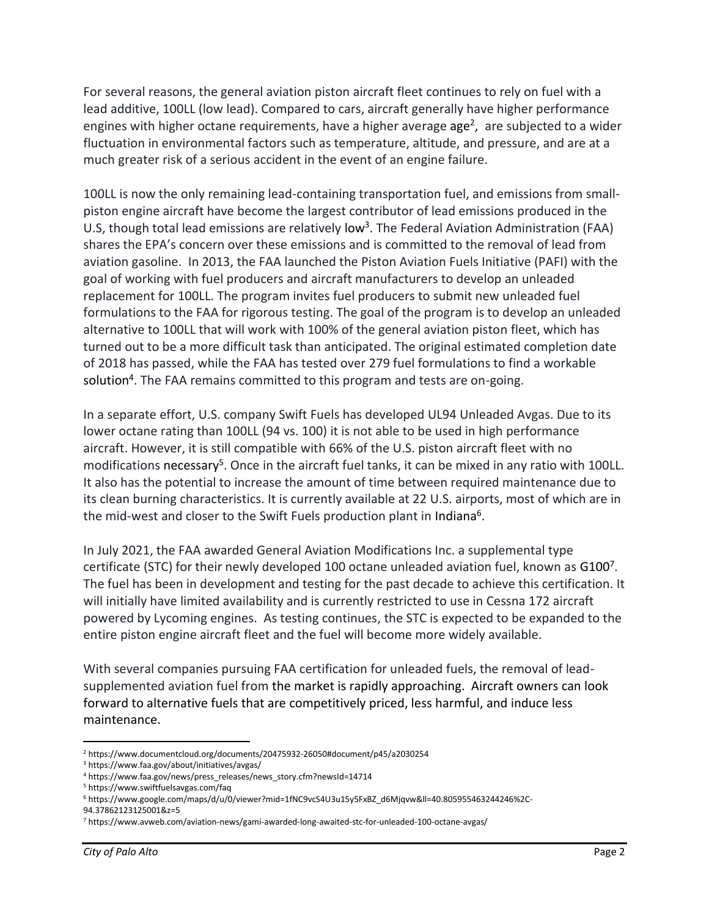For several reasons, the general aviation piston aircraft fleet continues to rely on fuel with a lead additive, 100LL (low lead). Compared to cars, aircraft generally have higher performance engines with higher octane requirements, have a higher average age<sup>2</sup>, are subjected to a wider fluctuation in environmental factors such as temperature, altitude, and pressure, and are at a much greater risk of a serious accident in the event of an engine failure.

100LL is now the only remaining lead-containing transportation fuel, and emissions from smallpiston engine aircraft have become the largest contributor of lead emissions produced in the U.S, though total lead emissions are relatively low<sup>3</sup>. The Federal Aviation Administration (FAA) shares the EPA's concern over these emissions and is committed to the removal of lead from aviation gasoline. In 2013, the FAA launched the Piston Aviation Fuels Initiative (PAFI) with the goal of working with fuel producers and aircraft manufacturers to develop an unleaded replacement for 100LL. The program invites fuel producers to submit new unleaded fuel formulations to the FAA for rigorous testing. The goal of the program is to develop an unleaded alternative to 100LL that will work with 100% of the general aviation piston fleet, which has turned out to be a more difficult task than anticipated. The original estimated completion date of 2018 has passed, while the FAA has tested over 279 fuel formulations to find a workable solution<sup>4</sup>. The FAA remains committed to this program and tests are on-going.

In a separate effort, U.S. company Swift Fuels has developed UL94 Unleaded Avgas. Due to its lower octane rating than 100LL (94 vs. 100) it is not able to be used in high performance aircraft. However, it is still compatible with 66% of the U.S. piston aircraft fleet with no modifications necessary<sup>5</sup>. Once in the aircraft fuel tanks, it can be mixed in any ratio with 100LL. It also has the potential to increase the amount of time between required maintenance due to its clean burning characteristics. It is currently available at 22 U.S. airports, most of which are in the mid-west and closer to the Swift Fuels production plant in Indiana<sup>6</sup>.

In July 2021, the FAA awarded General Aviation Modifications Inc. a supplemental type certificate (STC) for their newly developed 100 octane unleaded aviation fuel, known as G100<sup>7</sup>. The fuel has been in development and testing for the past decade to achieve this certification. It will initially have limited availability and is currently restricted to use in Cessna 172 aircraft powered by Lycoming engines. As testing continues, the STC is expected to be expanded to the entire piston engine aircraft fleet and the fuel will become more widely available.

With several companies pursuing FAA certification for unleaded fuels, the removal of leadsupplemented aviation fuel from the market is rapidly approaching. Aircraft owners can look forward to alternative fuels that are competitively priced, less harmful, and induce less maintenance.

<sup>2</sup> https://www.documentcloud.org/documents/20475932-26050#document/p45/a2030254

<sup>3</sup> https://www.faa.gov/about/initiatives/avgas/

<sup>4</sup> https://www.faa.gov/news/press\_releases/news\_story.cfm?newsId=14714

<sup>5</sup> https://www.swiftfuelsavgas.com/faq

<sup>6</sup> https://www.google.com/maps/d/u/0/viewer?mid=1fNC9vcS4U3u15y5FxBZ\_d6Mjqvw&ll=40.805955463244246%2C-94.37862123125001&z=5

<sup>7</sup> https://www.avweb.com/aviation-news/gami-awarded-long-awaited-stc-for-unleaded-100-octane-avgas/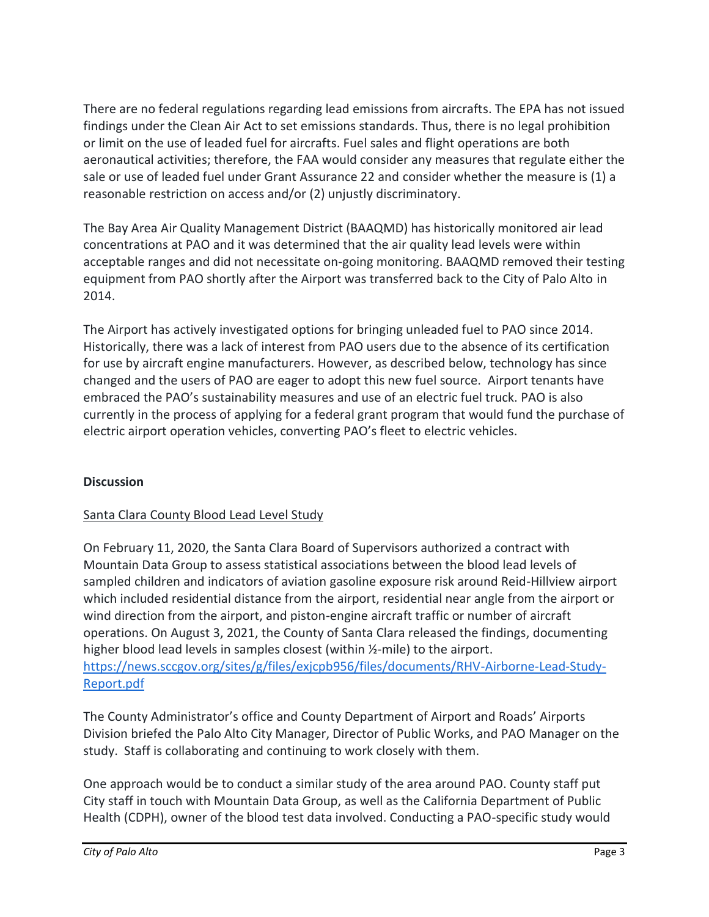There are no federal regulations regarding lead emissions from aircrafts. The EPA has not issued findings under the Clean Air Act to set emissions standards. Thus, there is no legal prohibition or limit on the use of leaded fuel for aircrafts. Fuel sales and flight operations are both aeronautical activities; therefore, the FAA would consider any measures that regulate either the sale or use of leaded fuel under Grant Assurance 22 and consider whether the measure is (1) a reasonable restriction on access and/or (2) unjustly discriminatory.

The Bay Area Air Quality Management District (BAAQMD) has historically monitored air lead concentrations at PAO and it was determined that the air quality lead levels were within acceptable ranges and did not necessitate on-going monitoring. BAAQMD removed their testing equipment from PAO shortly after the Airport was transferred back to the City of Palo Alto in 2014.

The Airport has actively investigated options for bringing unleaded fuel to PAO since 2014. Historically, there was a lack of interest from PAO users due to the absence of its certification for use by aircraft engine manufacturers. However, as described below, technology has since changed and the users of PAO are eager to adopt this new fuel source. Airport tenants have embraced the PAO's sustainability measures and use of an electric fuel truck. PAO is also currently in the process of applying for a federal grant program that would fund the purchase of electric airport operation vehicles, converting PAO's fleet to electric vehicles.

### **Discussion**

### Santa Clara County Blood Lead Level Study

On February 11, 2020, the Santa Clara Board of Supervisors authorized a contract with Mountain Data Group to assess statistical associations between the blood lead levels of sampled children and indicators of aviation gasoline exposure risk around Reid-Hillview airport which included residential distance from the airport, residential near angle from the airport or wind direction from the airport, and piston-engine aircraft traffic or number of aircraft operations. On August 3, 2021, the County of Santa Clara released the findings, documenting higher blood lead levels in samples closest (within ½-mile) to the airport. [https://news.sccgov.org/sites/g/files/exjcpb956/files/documents/RHV-Airborne-Lead-Study-](https://news.sccgov.org/sites/g/files/exjcpb956/files/documents/RHV-Airborne-Lead-Study-Report.pdf)[Report.pdf](https://news.sccgov.org/sites/g/files/exjcpb956/files/documents/RHV-Airborne-Lead-Study-Report.pdf)

The County Administrator's office and County Department of Airport and Roads' Airports Division briefed the Palo Alto City Manager, Director of Public Works, and PAO Manager on the study. Staff is collaborating and continuing to work closely with them.

One approach would be to conduct a similar study of the area around PAO. County staff put City staff in touch with Mountain Data Group, as well as the California Department of Public Health (CDPH), owner of the blood test data involved. Conducting a PAO-specific study would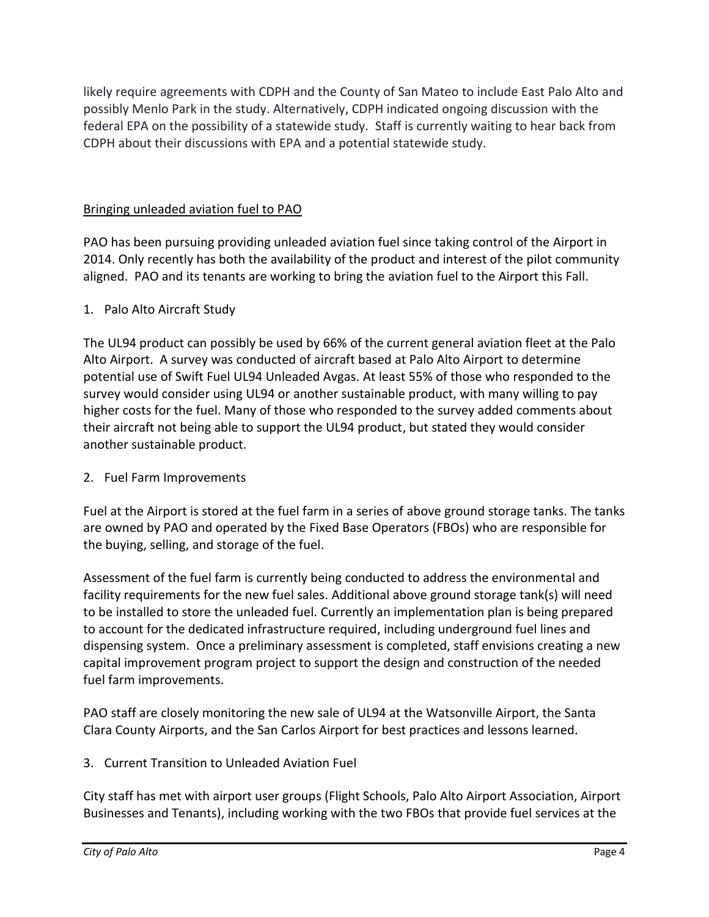likely require agreements with CDPH and the County of San Mateo to include East Palo Alto and possibly Menlo Park in the study. Alternatively, CDPH indicated ongoing discussion with the federal EPA on the possibility of a statewide study. Staff is currently waiting to hear back from CDPH about their discussions with EPA and a potential statewide study.

#### Bringing unleaded aviation fuel to PAO

PAO has been pursuing providing unleaded aviation fuel since taking control of the Airport in 2014. Only recently has both the availability of the product and interest of the pilot community aligned. PAO and its tenants are working to bring the aviation fuel to the Airport this Fall.

#### 1. Palo Alto Aircraft Study

The UL94 product can possibly be used by 66% of the current general aviation fleet at the Palo Alto Airport. A survey was conducted of aircraft based at Palo Alto Airport to determine potential use of Swift Fuel UL94 Unleaded Avgas. At least 55% of those who responded to the survey would consider using UL94 or another sustainable product, with many willing to pay higher costs for the fuel. Many of those who responded to the survey added comments about their aircraft not being able to support the UL94 product, but stated they would consider another sustainable product.

#### 2. Fuel Farm Improvements

Fuel at the Airport is stored at the fuel farm in a series of above ground storage tanks. The tanks are owned by PAO and operated by the Fixed Base Operators (FBOs) who are responsible for the buying, selling, and storage of the fuel.

Assessment of the fuel farm is currently being conducted to address the environmental and facility requirements for the new fuel sales. Additional above ground storage tank(s) will need to be installed to store the unleaded fuel. Currently an implementation plan is being prepared to account for the dedicated infrastructure required, including underground fuel lines and dispensing system. Once a preliminary assessment is completed, staff envisions creating a new capital improvement program project to support the design and construction of the needed fuel farm improvements.

PAO staff are closely monitoring the new sale of UL94 at the Watsonville Airport, the Santa Clara County Airports, and the San Carlos Airport for best practices and lessons learned.

### 3. Current Transition to Unleaded Aviation Fuel

City staff has met with airport user groups (Flight Schools, Palo Alto Airport Association, Airport Businesses and Tenants), including working with the two FBOs that provide fuel services at the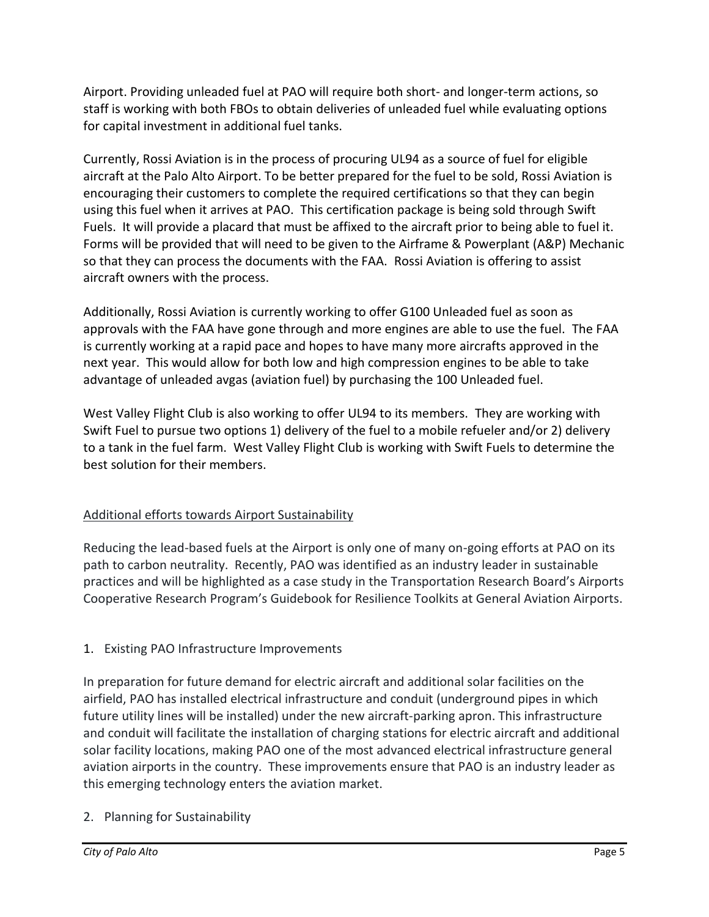Airport. Providing unleaded fuel at PAO will require both short- and longer-term actions, so staff is working with both FBOs to obtain deliveries of unleaded fuel while evaluating options for capital investment in additional fuel tanks.

Currently, Rossi Aviation is in the process of procuring UL94 as a source of fuel for eligible aircraft at the Palo Alto Airport. To be better prepared for the fuel to be sold, Rossi Aviation is encouraging their customers to complete the required certifications so that they can begin using this fuel when it arrives at PAO. This certification package is being sold through Swift Fuels. It will provide a placard that must be affixed to the aircraft prior to being able to fuel it. Forms will be provided that will need to be given to the Airframe & Powerplant (A&P) Mechanic so that they can process the documents with the FAA. Rossi Aviation is offering to assist aircraft owners with the process.

Additionally, Rossi Aviation is currently working to offer G100 Unleaded fuel as soon as approvals with the FAA have gone through and more engines are able to use the fuel. The FAA is currently working at a rapid pace and hopes to have many more aircrafts approved in the next year. This would allow for both low and high compression engines to be able to take advantage of unleaded avgas (aviation fuel) by purchasing the 100 Unleaded fuel.

West Valley Flight Club is also working to offer UL94 to its members. They are working with Swift Fuel to pursue two options 1) delivery of the fuel to a mobile refueler and/or 2) delivery to a tank in the fuel farm. West Valley Flight Club is working with Swift Fuels to determine the best solution for their members.

### Additional efforts towards Airport Sustainability

Reducing the lead-based fuels at the Airport is only one of many on-going efforts at PAO on its path to carbon neutrality. Recently, PAO was identified as an industry leader in sustainable practices and will be highlighted as a case study in the Transportation Research Board's Airports Cooperative Research Program's Guidebook for Resilience Toolkits at General Aviation Airports.

## 1. Existing PAO Infrastructure Improvements

In preparation for future demand for electric aircraft and additional solar facilities on the airfield, PAO has installed electrical infrastructure and conduit (underground pipes in which future utility lines will be installed) under the new aircraft-parking apron. This infrastructure and conduit will facilitate the installation of charging stations for electric aircraft and additional solar facility locations, making PAO one of the most advanced electrical infrastructure general aviation airports in the country. These improvements ensure that PAO is an industry leader as this emerging technology enters the aviation market.

### 2. Planning for Sustainability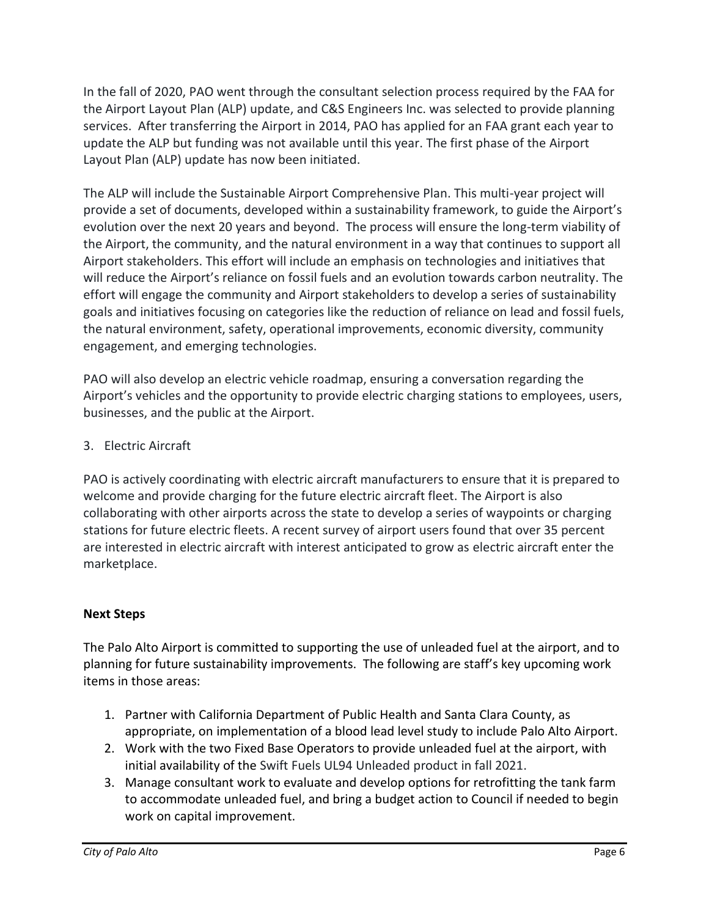In the fall of 2020, PAO went through the consultant selection process required by the FAA for the Airport Layout Plan (ALP) update, and C&S Engineers Inc. was selected to provide planning services. After transferring the Airport in 2014, PAO has applied for an FAA grant each year to update the ALP but funding was not available until this year. The first phase of the Airport Layout Plan (ALP) update has now been initiated.

The ALP will include the Sustainable Airport Comprehensive Plan. This multi-year project will provide a set of documents, developed within a sustainability framework, to guide the Airport's evolution over the next 20 years and beyond. The process will ensure the long-term viability of the Airport, the community, and the natural environment in a way that continues to support all Airport stakeholders. This effort will include an emphasis on technologies and initiatives that will reduce the Airport's reliance on fossil fuels and an evolution towards carbon neutrality. The effort will engage the community and Airport stakeholders to develop a series of sustainability goals and initiatives focusing on categories like the reduction of reliance on lead and fossil fuels, the natural environment, safety, operational improvements, economic diversity, community engagement, and emerging technologies.

PAO will also develop an electric vehicle roadmap, ensuring a conversation regarding the Airport's vehicles and the opportunity to provide electric charging stations to employees, users, businesses, and the public at the Airport.

### 3. Electric Aircraft

PAO is actively coordinating with electric aircraft manufacturers to ensure that it is prepared to welcome and provide charging for the future electric aircraft fleet. The Airport is also collaborating with other airports across the state to develop a series of waypoints or charging stations for future electric fleets. A recent survey of airport users found that over 35 percent are interested in electric aircraft with interest anticipated to grow as electric aircraft enter the marketplace.

### **Next Steps**

The Palo Alto Airport is committed to supporting the use of unleaded fuel at the airport, and to planning for future sustainability improvements. The following are staff's key upcoming work items in those areas:

- 1. Partner with California Department of Public Health and Santa Clara County, as appropriate, on implementation of a blood lead level study to include Palo Alto Airport.
- 2. Work with the two Fixed Base Operators to provide unleaded fuel at the airport, with initial availability of the Swift Fuels UL94 Unleaded product in fall 2021.
- 3. Manage consultant work to evaluate and develop options for retrofitting the tank farm to accommodate unleaded fuel, and bring a budget action to Council if needed to begin work on capital improvement.